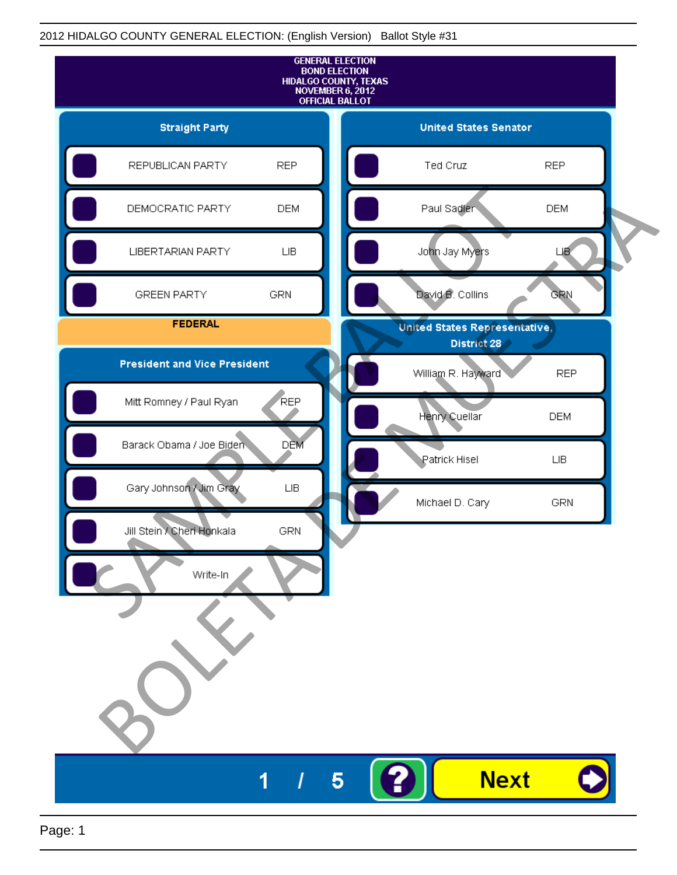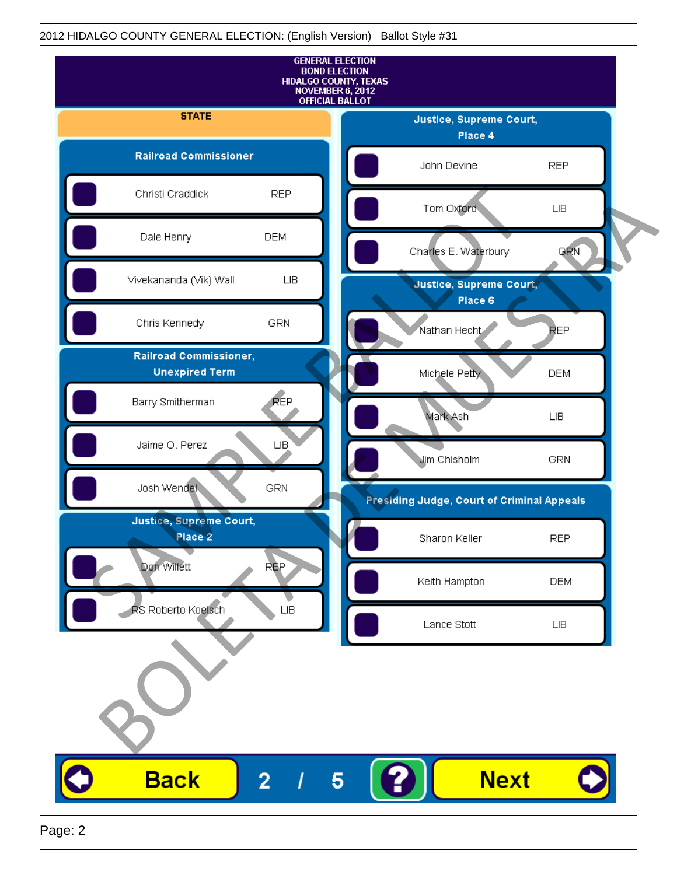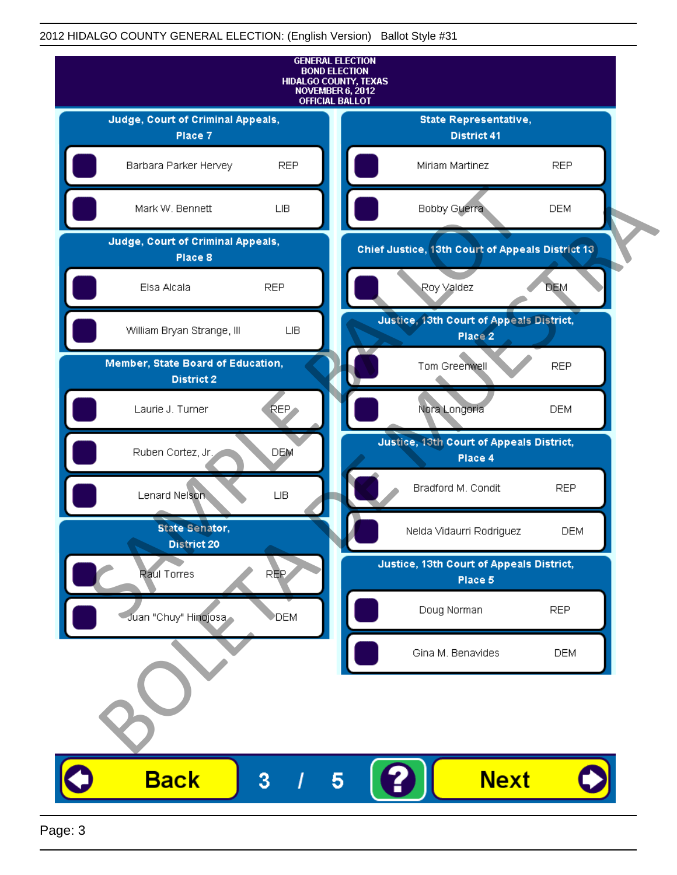

Page: 3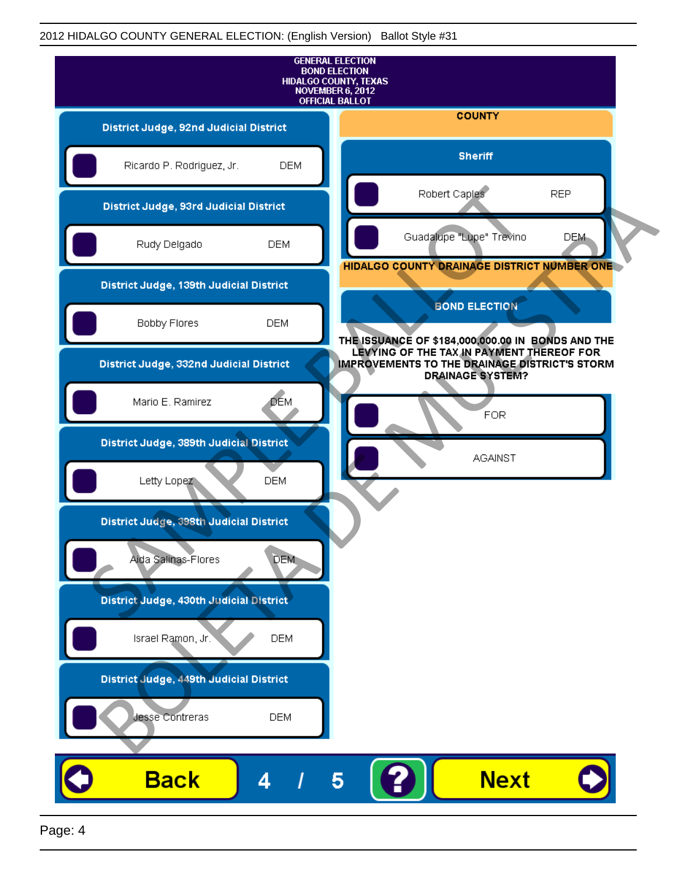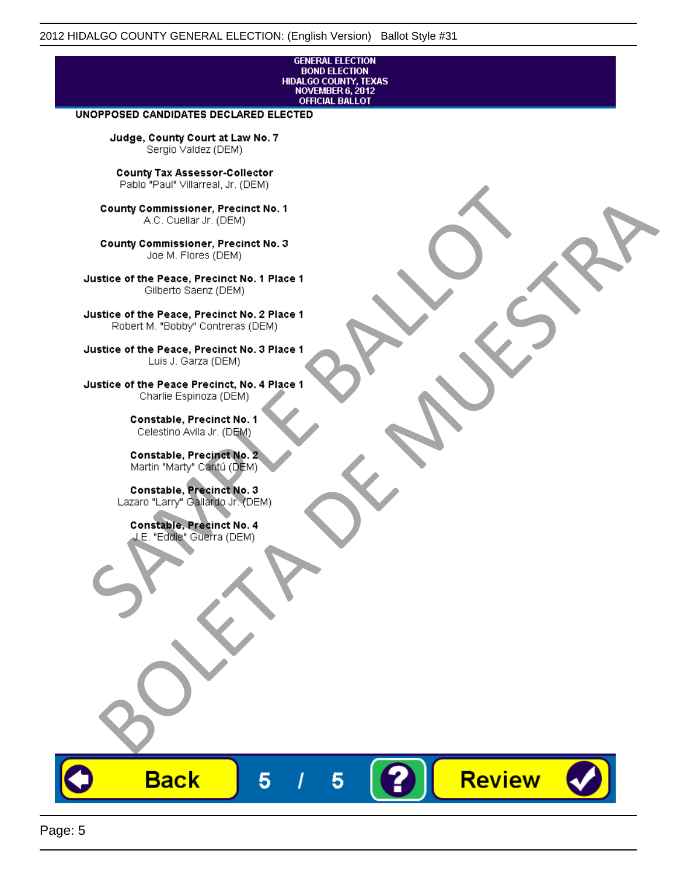#### **GENERAL ELECTION BOND ELECTION** HIDALGO COUNTY, TEXAS<br>NOVEMBER 6, 2012 **OFFICIAL BALLOT**

Review

#### UNOPPOSED CANDIDATES DECLARED ELECTED

Judge, County Court at Law No. 7 Sergio Valdez (DEM)

County Tax Assessor-Collector

Fall Paul Visitera, Precinct No. 1<br>
County Commissioner, Precinct No. 1<br>
SAC. Cutellar Jr. (DEM)<br>
County Commissioner, Precinct No. 2<br>
Ulattice of the Peace, Precinct No. 2 Place 1<br>
Counter M. "Bobby" Contrers (DEM)<br>
Ulatt County Commissioner, Precinct No. 1<br>
Accounts: A County Commissioner, Precinct No. 3<br>
Use of the Peace, Precinct No. 1<br>
Siste of the Peace, Precinct No. 1<br>
There is a control of the County Commission (DEM)<br>
There is a cont

**Back** 

5

5

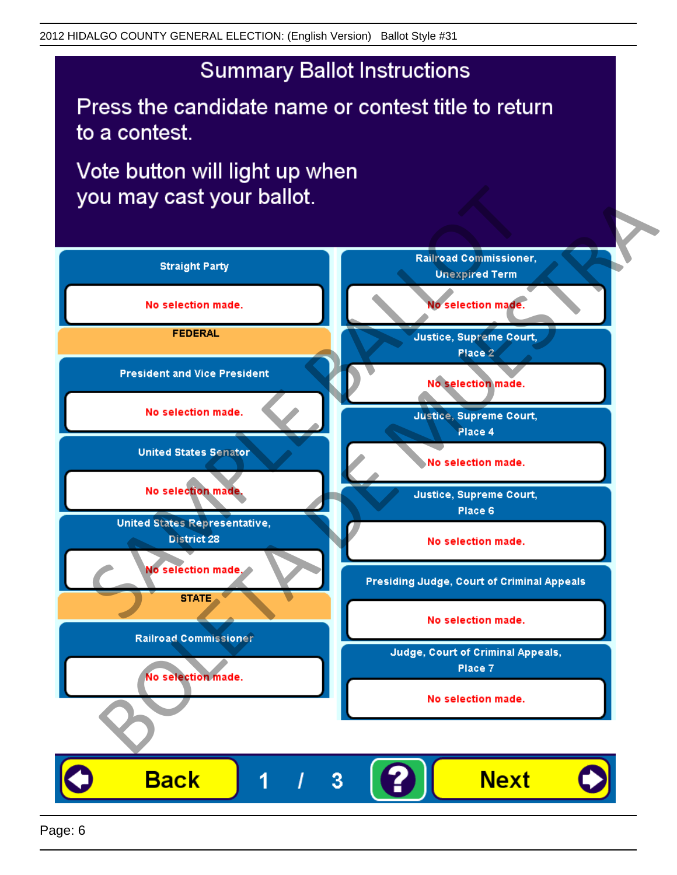# **Summary Ballot Instructions**

Press the candidate name or contest title to return to a contest.

Vote button will light up when

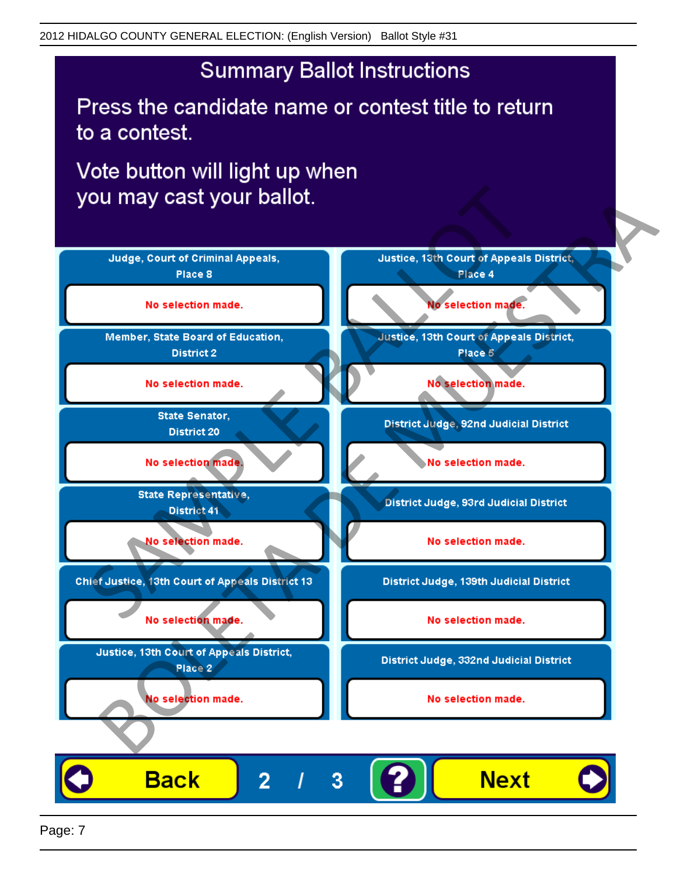# **Summary Ballot Instructions**

Press the candidate name or contest title to return to a contest.

Vote button will light up when



Page: 7